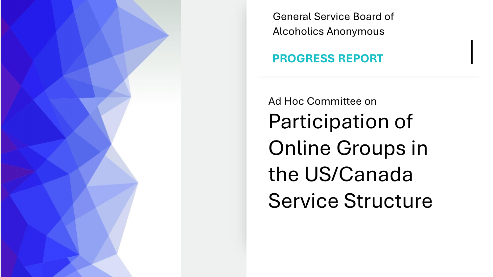

General Service Board of Alcoholics Anonymous

# **PROGRESS REPORT**

Ad Hoc Committee on Participation of Online Groups in the US/Canada Service Structure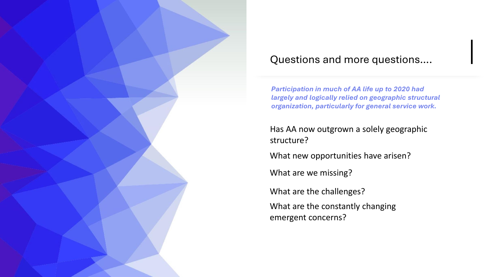

# Questions and more questions….

*Participation in much of AA life up to 2020 had largely and logically relied on geographic structural organization, particularly for general service work.* 

Has AA now outgrown a solely geographic structure?

What new opportunities have arisen?

What are we missing?

What are the challenges?

What are the constantly changing emergent concerns?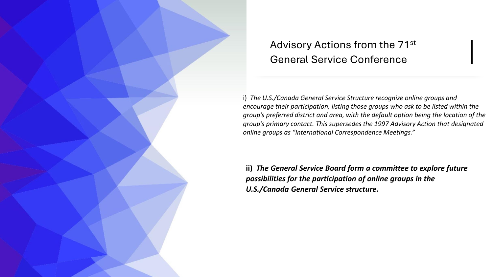# Advisory Actions from the 71st General Service Conference

i) *The U.S./Canada General Service Structure recognize online groups and encourage their participation, listing those groups who ask to be listed within the group's preferred district and area, with the default option being the location of the group's primary contact. This supersedes the 1997 Advisory Action that designated online groups as "International Correspondence Meetings."*

**ii)** *The General Service Board form a committee to explore future possibilities for the participation of online groups in the U.S./Canada General Service structure.*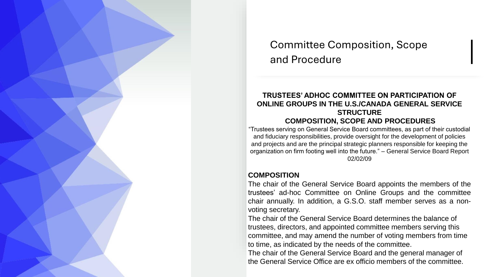Committee Composition, Scope and Procedure

#### **TRUSTEES' ADHOC COMMITTEE ON PARTICIPATION OF ONLINE GROUPS IN THE U.S./CANADA GENERAL SERVICE STRUCTURE**

#### **COMPOSITION, SCOPE AND PROCEDURES**

"Trustees serving on General Service Board committees, as part of their custodial and fiduciary responsibilities, provide oversight for the development of policies and projects and are the principal strategic planners responsible for keeping the organization on firm footing well into the future." – General Service Board Report 02/02/09

#### **COMPOSITION**

The chair of the General Service Board appoints the members of the trustees' ad-hoc Committee on Online Groups and the committee chair annually. In addition, a G.S.O. staff member serves as a nonvoting secretary.

The chair of the General Service Board determines the balance of trustees, directors, and appointed committee members serving this committee, and may amend the number of voting members from time to time, as indicated by the needs of the committee.

The chair of the General Service Board and the general manager of the General Service Office are ex officio members of the committee.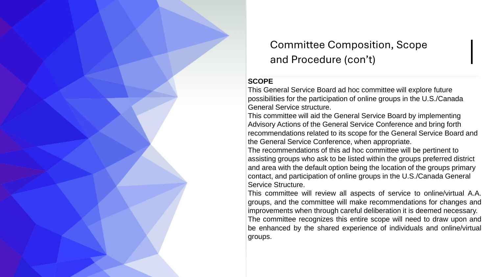Committee Composition, Scope and Procedure (con't)

#### **SCOPE**

This General Service Board ad hoc committee will explore future possibilities for the participation of online groups in the U.S./Canada General Service structure.

This committee will aid the General Service Board by implementing Advisory Actions of the General Service Conference and bring forth recommendations related to its scope for the General Service Board and the General Service Conference, when appropriate.

The recommendations of this ad hoc committee will be pertinent to assisting groups who ask to be listed within the groups preferred district and area with the default option being the location of the groups primary contact, and participation of online groups in the U.S./Canada General Service Structure.

This committee will review all aspects of service to online/virtual A.A. groups, and the committee will make recommendations for changes and improvements when through careful deliberation it is deemed necessary. The committee recognizes this entire scope will need to draw upon and be enhanced by the shared experience of individuals and online/virtual groups.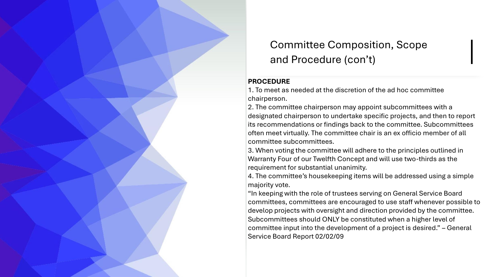

# Committee Composition, Scope and Procedure (con't)

#### **PROCEDURE**

1. To meet as needed at the discretion of the ad hoc committee chairperson.

2. The committee chairperson may appoint subcommittees with a designated chairperson to undertake specific projects, and then to report its recommendations or findings back to the committee. Subcommittees often meet virtually. The committee chair is an ex officio member of all committee subcommittees.

3. When voting the committee will adhere to the principles outlined in Warranty Four of our Twelfth Concept and will use two-thirds as the requirement for substantial unanimity.

4. The committee's housekeeping items will be addressed using a simple majority vote.

"In keeping with the role of trustees serving on General Service Board committees, committees are encouraged to use staff whenever possible to develop projects with oversight and direction provided by the committee. Subcommittees should ONLY be constituted when a higher level of committee input into the development of a project is desired." – General Service Board Report 02/02/09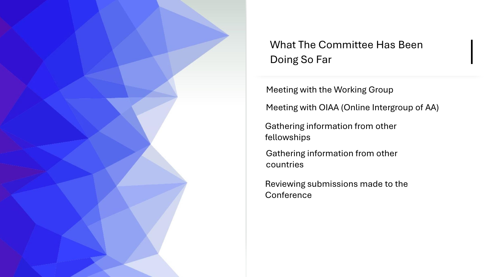![](_page_6_Picture_0.jpeg)

# What The Committee Has Been Doing So Far

Meeting with the Working Group

Meeting with OIAA (Online Intergroup of AA)

Gathering information from other fellowships

Gathering information from other countries

Reviewing submissions made to the **Conference**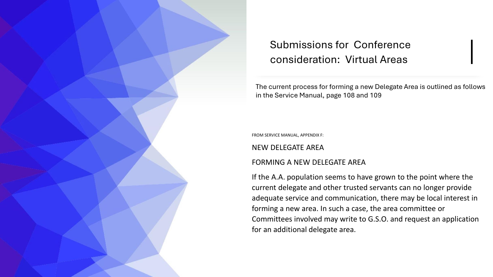![](_page_7_Picture_0.jpeg)

# Submissions for Conference consideration: Virtual Areas

The current process for forming a new Delegate Area is outlined as follows in the Service Manual, page 108 and 109

FROM SERVICE MANUAL, APPENDIX F:

NEW DELEGATE AREA

#### FORMING A NEW DELEGATE AREA

If the A.A. population seems to have grown to the point where the current delegate and other trusted servants can no longer provide adequate service and communication, there may be local interest in forming a new area. In such a case, the area committee or Committees involved may write to G.S.O. and request an application for an additional delegate area.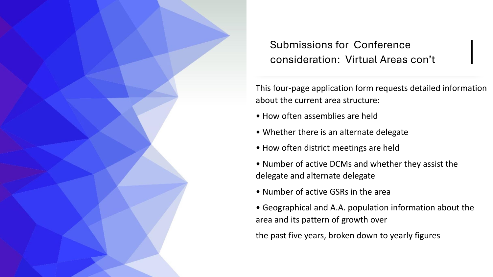![](_page_8_Picture_0.jpeg)

Submissions for Conference consideration: Virtual Areas con't

This four-page application form requests detailed information about the current area structure:

- How often assemblies are held
- Whether there is an alternate delegate
- How often district meetings are held
- Number of active DCMs and whether they assist the delegate and alternate delegate
- Number of active GSRs in the area
- Geographical and A.A. population information about the area and its pattern of growth over

the past five years, broken down to yearly figures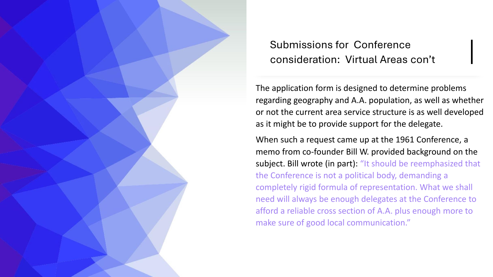Submissions for Conference consideration: Virtual Areas con't

The application form is designed to determine problems regarding geography and A.A. population, as well as whether or not the current area service structure is as well developed as it might be to provide support for the delegate.

When such a request came up at the 1961 Conference, a memo from co-founder Bill W. provided background on the subject. Bill wrote (in part): "It should be reemphasized that the Conference is not a political body, demanding a completely rigid formula of representation. What we shall need will always be enough delegates at the Conference to afford a reliable cross section of A.A. plus enough more to make sure of good local communication."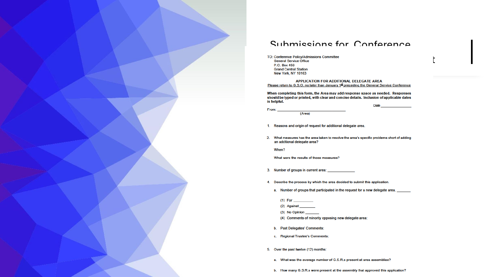![](_page_10_Picture_0.jpeg)

#### Submissions for Conference

TO: Conference Policy/Admissions Committee<br>General Service Office<br>P.O. Box 459 **Grand Central Station** New York, NY 10163

APPLICATION FOR ADDITIONAL DELEGATE AREA Please return to G.S.O. no later than January 1<sup>st</sup> preceding the General Service Conference

When completing this form, the Area may add response space as needed. Responses should be typed or printed, with clear and concise details. Inclusion of applicable dates is helpful.

Date

(Area)

1. Reasons and origin of request for additional delegate area.

2. What measures has the area taken to resolve the area's specific problems short of adding an additional delegate area?

When?

From:

What were the results of those measures?

3. Number of groups in current area:

- 4. Describe the process by which the area decided to submit this application.
	- a. Number of groups that participated in the request for a new delegate area.

(2) Against

(3) No Opinion

(4) Comments of minority opposing new delegate area:

b. Past Delegates' Comments:

- c. Regional Trustee's Comments:
- 5. Over the past twelve (12) months:
	- a. What was the average number of G.S.R.s present at area assemblies?
	- b. How many G.S.R.s were present at the assembly that approved this application?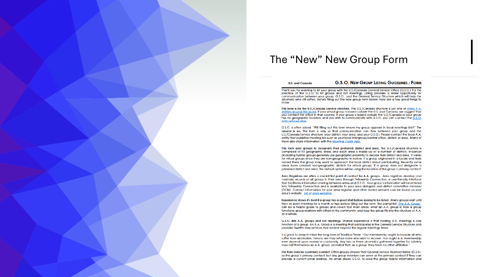![](_page_11_Picture_0.jpeg)

### The "New" New Group Form

#### **U.S. and Canada**

#### **G.S.O. NEW GROUP LISTING GUIDELINES / FORM**

Thank you for wanting to list your group with the U.S./Canada General Service Office (G.S.O.) It is the practice of the G.S.O. to list groups and not meetings. Listing provides a wider opportunity for communication between your group, G.S.O., and the General Service Structure which will help the alcoholic who still suffers. Before filling out the new group form below, here are a few good things to know:

This form is for the U.S./Canada Service structure. The U.S./Canada structure is just one of many A.A. entities around the world. If your virtual group is based outside the U.S. and Canada, we suggest that you contact the office in that country. If your group is based outside the U.S./Canada or your group has no geographic location, and you wish to communicate with G.S.O. you can contact the G.S.O. International desk.

G.S.O. is often asked. "Will filling out this form ensure my aroup appears in local meetings lists?" The answer is no. This form is only so that communication can flow between your group and the U.S./Canada Service structure (your district, your area, and your G.S.O.) Please contact the local A.A. entity that publishes meeting lists such as your local intergroup/central office, district, or area. Many of them also share information with the Meeting Guide App.

This form asks groups to designate their preferred district and area. The U.S./Canada structure is comprised of 93 geographic areas and each area is made up of a number of districts. In-person (including hybrid) groups generally use geographic proximity to decide their district and greg. It varies for virtual groups since they are non-geographic in nature. If a group originated in a locale and feels rooted there the group may want to approach the local district about participating. Recently some areas have created non-geographic districts for virtual groups. If a group does not designate a preferred district and area, the default option will be using the location of the group's primary contact.

Area Registrars are often a crucial first point of contact for A.A. groups. Area registrars develop and maintain records of all groups in their area through Fellowship Connection, a user-friendly interface that facilitates information sharing between greas and G.S.O. Your group's information will be entered into Fellowship Connection and is available to your area delegate and district committee member (DCM). Contact information for your area registrar and other trusted servants can be found on your area's website. List of area websites.

Experience shows it's best if a group has a good start before asking to be listed. Many groups wait until they've been meeting for a month or two before filling out this form. The pamphlet "The A.A. Group" can be a helpful guide to groups and covers four main areas: what an A.A. group is; how a group functions: group relations with others in the community: and how the group fits into the structure of A.A. as a whole

G.S.O. lists A.A. groups and not meetings. Shared experience is that holding A.A. meetings is one function of a aroup. An A.A. Group is a meeting that participates in the General Service Structure and provides Twelfth Step services that extend beyond the regular meetings times.

It is good to keep in mind the long form of Tradition Three: "Our membership ought to include all who suffer from alcoholism. Hence, we may refuse none who wish to recover. Nor ought A.A. membership ever depend upon money or conformity. Any two or three alcoholics gathered together for sobriety may call themselves an A.A. group, provided that, as a group, they have no other affiliation."

The form asks for a primary contact. Often groups choose their General Service Representative (G.S.R.) as the group's primary contact, but any group member can serve as the primary contact if they can provide a current email address. An email allows G.S.O. to send the group helpful information and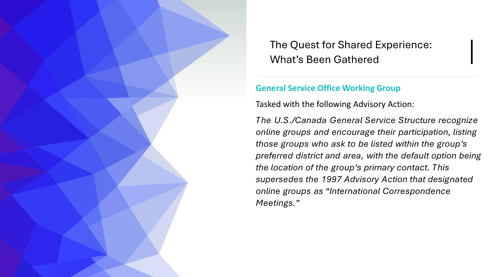#### **General Service Office Working Group**

Tasked with the following Advisory Action:

*The U.S./Canada General Service Structure recognize online groups and encourage their participation, listing those groups who ask to be listed within the group's preferred district and area, with the default option being the location of the group's primary contact. This supersedes the 1997 Advisory Action that designated online groups as "International Correspondence Meetings."*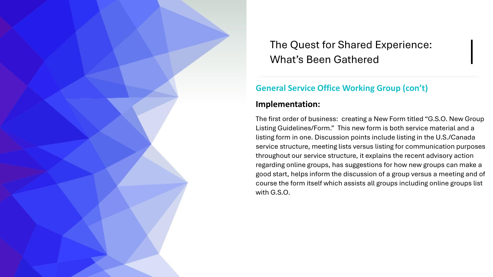### **General Service Office Working Group (con't)**

#### **Implementation:**

The first order of business: creating a New Form titled "G.S.O. New Group Listing Guidelines/Form." This new form is both service material and a listing form in one. Discussion points include listing in the U.S./Canada service structure, meeting lists versus listing for communication purposes throughout our service structure, it explains the recent advisory action regarding online groups, has suggestions for how new groups can make a good start, helps inform the discussion of a group versus a meeting and of course the form itself which assists all groups including online groups list with G.S.O.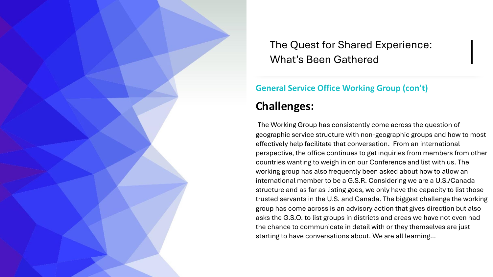## **General Service Office Working Group (con't)**

# **Challenges:**

The Working Group has consistently come across the question of geographic service structure with non-geographic groups and how to most effectively help facilitate that conversation. From an international perspective, the office continues to get inquiries from members from other countries wanting to weigh in on our Conference and list with us. The working group has also frequently been asked about how to allow an international member to be a G.S.R. Considering we are a U.S./Canada structure and as far as listing goes, we only have the capacity to list those trusted servants in the U.S. and Canada. The biggest challenge the working group has come across is an advisory action that gives direction but also asks the G.S.O. to list groups in districts and areas we have not even had the chance to communicate in detail with or they themselves are just starting to have conversations about. We are all learning…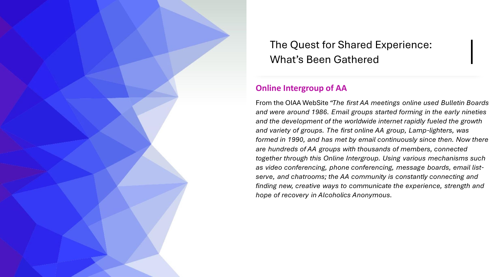#### **Online Intergroup of AA**

From the OIAA WebSite *"The first AA meetings online used Bulletin Boards and were around 1986. Email groups started forming in the early nineties and the development of the worldwide internet rapidly fueled the growth and variety of groups. The first online AA group, Lamp-lighters, was formed in 1990, and has met by email continuously since then. Now there are hundreds of AA groups with thousands of members, connected together through this Online Intergroup. Using various mechanisms such as video conferencing, phone conferencing, message boards, email listserve, and chatrooms; the AA community is constantly connecting and finding new, creative ways to communicate the experience, strength and hope of recovery in Alcoholics Anonymous.*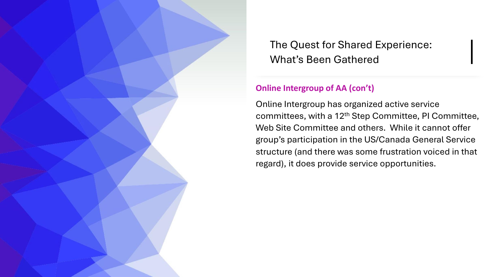### **Online Intergroup of AA (con't)**

Online Intergroup has organized active service committees, with a 12th Step Committee, PI Committee, Web Site Committee and others. While it cannot offer group's participation in the US/Canada General Service structure (and there was some frustration voiced in that regard), it does provide service opportunities.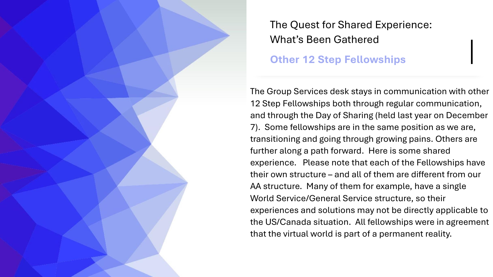**Other 12 Step Fellowships**

The Group Services desk stays in communication with other 12 Step Fellowships both through regular communication, and through the Day of Sharing (held last year on December 7). Some fellowships are in the same position as we are, transitioning and going through growing pains. Others are further along a path forward. Here is some shared experience. Please note that each of the Fellowships have their own structure – and all of them are different from our AA structure. Many of them for example, have a single World Service/General Service structure, so their experiences and solutions may not be directly applicable to the US/Canada situation. All fellowships were in agreement that the virtual world is part of a permanent reality.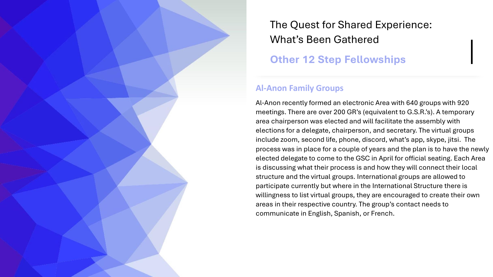**Other 12 Step Fellowships**

#### **Al-Anon Family Groups**

Al-Anon recently formed an electronic Area with 640 groups with 920 meetings. There are over 200 GR's (equivalent to G.S.R.'s). A temporary area chairperson was elected and will facilitate the assembly with elections for a delegate, chairperson, and secretary. The virtual groups include zoom, second life, phone, discord, what's app, skype, jitsi. The process was in place for a couple of years and the plan is to have the newly elected delegate to come to the GSC in April for official seating. Each Area is discussing what their process is and how they will connect their local structure and the virtual groups. International groups are allowed to participate currently but where in the International Structure there is willingness to list virtual groups, they are encouraged to create their own areas in their respective country. The group's contact needs to communicate in English, Spanish, or French.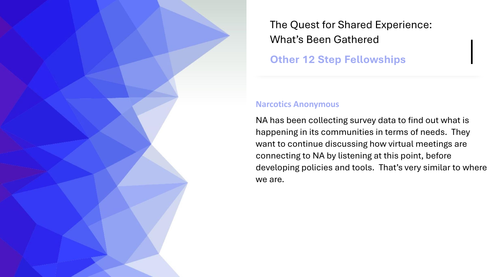**Other 12 Step Fellowships**

#### **Narcotics Anonymous**

NA has been collecting survey data to find out what is happening in its communities in terms of needs. They want to continue discussing how virtual meetings are connecting to NA by listening at this point, before developing policies and tools. That's very similar to where we are.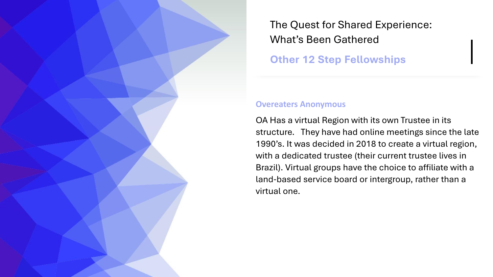**Other 12 Step Fellowships**

#### **Overeaters Anonymous**

OA Has a virtual Region with its own Trustee in its structure. They have had online meetings since the late 1990's. It was decided in 2018 to create a virtual region, with a dedicated trustee (their current trustee lives in Brazil). Virtual groups have the choice to affiliate with a land-based service board or intergroup, rather than a virtual one.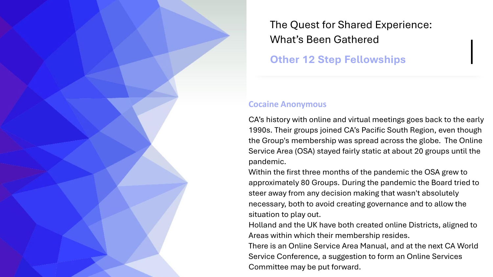**Other 12 Step Fellowships**

#### **Cocaine Anonymous**

CA's history with online and virtual meetings goes back to the early 1990s. Their groups joined CA's Pacific South Region, even though the Group's membership was spread across the globe. The Online Service Area (OSA) stayed fairly static at about 20 groups until the pandemic.

Within the first three months of the pandemic the OSA grew to approximately 80 Groups. During the pandemic the Board tried to steer away from any decision making that wasn't absolutely necessary, both to avoid creating governance and to allow the situation to play out.

Holland and the UK have both created online Districts, aligned to Areas within which their membership resides.

There is an Online Service Area Manual, and at the next CA World Service Conference, a suggestion to form an Online Services Committee may be put forward.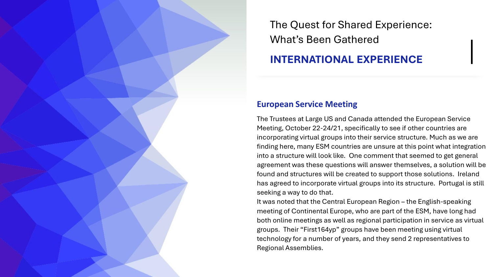# **INTERNATIONAL EXPERIENCE**

#### **European Service Meeting**

The Trustees at Large US and Canada attended the European Service Meeting, October 22-24/21, specifically to see if other countries are incorporating virtual groups into their service structure. Much as we are finding here, many ESM countries are unsure at this point what integration into a structure will look like. One comment that seemed to get general agreement was these questions will answer themselves, a solution will be found and structures will be created to support those solutions. Ireland has agreed to incorporate virtual groups into its structure. Portugal is still seeking a way to do that.

It was noted that the Central European Region – the English-speaking meeting of Continental Europe, who are part of the ESM, have long had both online meetings as well as regional participation in service as virtual groups. Their "First164yp" groups have been meeting using virtual technology for a number of years, and they send 2 representatives to Regional Assemblies.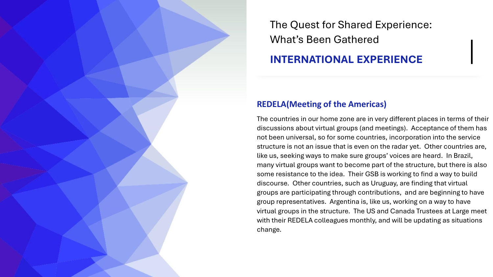## **INTERNATIONAL EXPERIENCE**

#### **REDELA(Meeting of the Americas)**

The countries in our home zone are in very different places in terms of their discussions about virtual groups (and meetings). Acceptance of them has not been universal, so for some countries, incorporation into the service structure is not an issue that is even on the radar yet. Other countries are, like us, seeking ways to make sure groups' voices are heard. In Brazil, many virtual groups want to become part of the structure, but there is also some resistance to the idea. Their GSB is working to find a way to build discourse. Other countries, such as Uruguay, are finding that virtual groups are participating through contributions, and are beginning to have group representatives. Argentina is, like us, working on a way to have virtual groups in the structure. The US and Canada Trustees at Large meet with their REDELA colleagues monthly, and will be updating as situations change.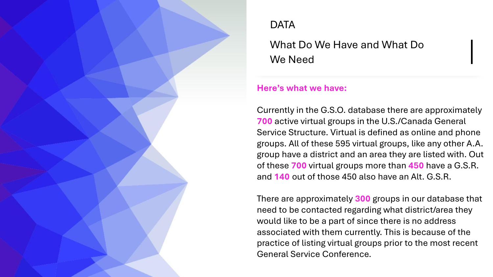What Do We Have and What Do We Need

### **Here's what we have:**

Currently in the G.S.O. database there are approximately **700** active virtual groups in the U.S./Canada General Service Structure. Virtual is defined as online and phone groups. All of these 595 virtual groups, like any other A.A. group have a district and an area they are listed with. Out of these **700** virtual groups more than **450** have a G.S.R. and **140** out of those 450 also have an Alt. G.S.R.

There are approximately **300** groups in our database that need to be contacted regarding what district/area they would like to be a part of since there is no address associated with them currently. This is because of the practice of listing virtual groups prior to the most recent General Service Conference.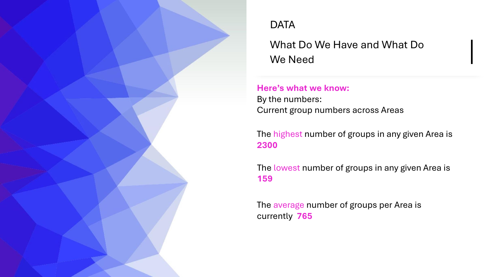![](_page_25_Picture_0.jpeg)

What Do We Have and What Do We Need

**Here's what we know:** By the numbers: Current group numbers across Areas

The highest number of groups in any given Area is **2300**

The lowest number of groups in any given Area is **159**

The average number of groups per Area is currently **765**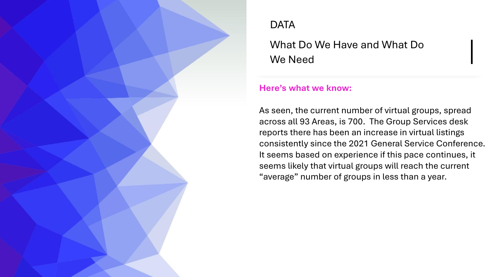What Do We Have and What Do We Need

### **Here's what we know:**

As seen, the current number of virtual groups, spread across all 93 Areas, is 700. The Group Services desk reports there has been an increase in virtual listings consistently since the 2021 General Service Conference. It seems based on experience if this pace continues, it seems likely that virtual groups will reach the current "average" number of groups in less than a year.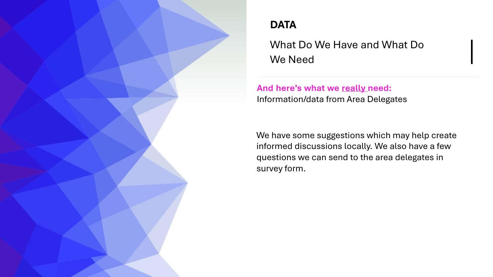What Do We Have and What Do We Need

**And here's what we really need:** Information/data from Area Delegates

We have some suggestions which may help create informed discussions locally. We also have a few questions we can send to the area delegates in survey form.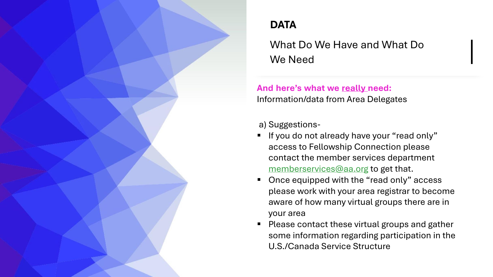What Do We Have and What Do We Need

## **And here's what we really need:** Information/data from Area Delegates

a) Suggestions-

- If you do not already have your "read only" access to Fellowship Connection please contact the member services department [memberservices@aa.org](mailto:memberservices@aa.org) to get that.
- Once equipped with the "read only" access please work with your area registrar to become aware of how many virtual groups there are in your area
- Please contact these virtual groups and gather some information regarding participation in the U.S./Canada Service Structure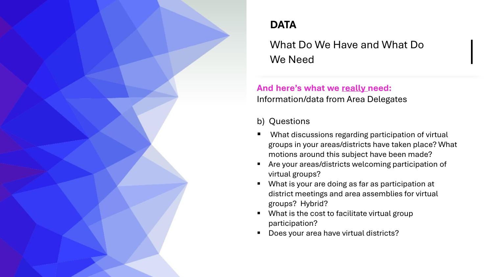What Do We Have and What Do We Need

## **And here's what we really need:** Information/data from Area Delegates

b) Questions

- What discussions regarding participation of virtual groups in your areas/districts have taken place? What motions around this subject have been made?
- Are your areas/districts welcoming participation of virtual groups?
- What is your are doing as far as participation at district meetings and area assemblies for virtual groups? Hybrid?
- What is the cost to facilitate virtual group participation?
- **Does your area have virtual districts?**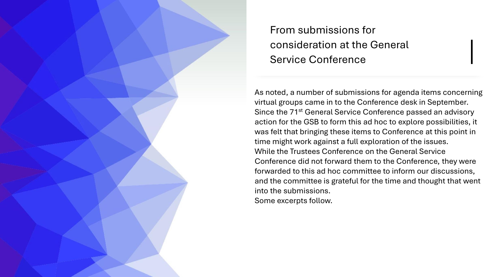As noted, a number of submissions for agenda items concerning virtual groups came in to the Conference desk in September. Since the 71<sup>st</sup> General Service Conference passed an advisory action for the GSB to form this ad hoc to explore possibilities, it was felt that bringing these items to Conference at this point in time might work against a full exploration of the issues. While the Trustees Conference on the General Service Conference did not forward them to the Conference, they were forwarded to this ad hoc committee to inform our discussions, and the committee is grateful for the time and thought that went into the submissions. Some excerpts follow.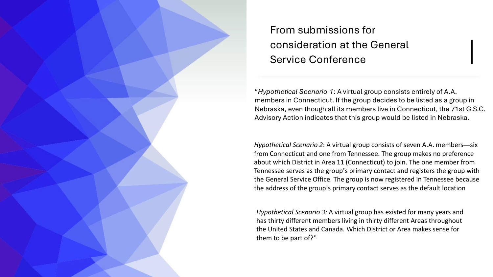"*Hypothetical Scenario 1*: A virtual group consists entirely of A.A. members in Connecticut. If the group decides to be listed as a group in Nebraska, even though all its members live in Connecticut, the 71st G.S.C. Advisory Action indicates that this group would be listed in Nebraska.

*Hypothetical Scenario 2*: A virtual group consists of seven A.A. members—six from Connecticut and one from Tennessee. The group makes no preference about which District in Area 11 (Connecticut) to join. The one member from Tennessee serves as the group's primary contact and registers the group with the General Service Office. The group is now registered in Tennessee because the address of the group's primary contact serves as the default location

*Hypothetical Scenario 3:* A virtual group has existed for many years and has thirty different members living in thirty different Areas throughout the United States and Canada. Which District or Area makes sense for them to be part of?"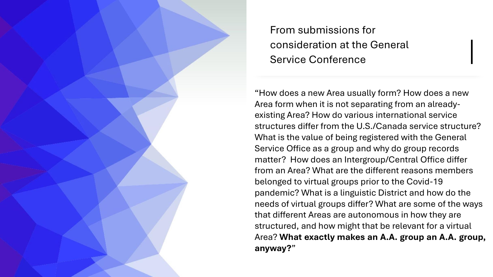"How does a new Area usually form? How does a new Area form when it is not separating from an alreadyexisting Area? How do various international service structures differ from the U.S./Canada service structure? What is the value of being registered with the General Service Office as a group and why do group records matter? How does an Intergroup/Central Office differ from an Area? What are the different reasons members belonged to virtual groups prior to the Covid-19 pandemic? What is a linguistic District and how do the needs of virtual groups differ? What are some of the ways that different Areas are autonomous in how they are structured, and how might that be relevant for a virtual Area? **What exactly makes an A.A. group an A.A. group, anyway?**"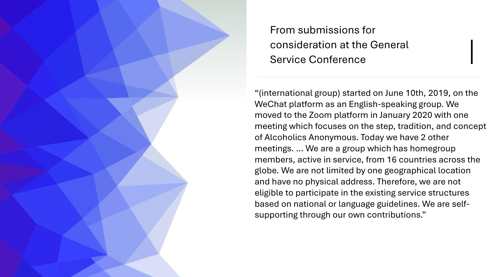"(international group) started on June 10th, 2019, on the WeChat platform as an English-speaking group. We moved to the Zoom platform in January 2020 with one meeting which focuses on the step, tradition, and concept of Alcoholics Anonymous. Today we have 2 other meetings. … We are a group which has homegroup members, active in service, from 16 countries across the globe. We are not limited by one geographical location and have no physical address. Therefore, we are not eligible to participate in the existing service structures based on national or language guidelines. We are selfsupporting through our own contributions."